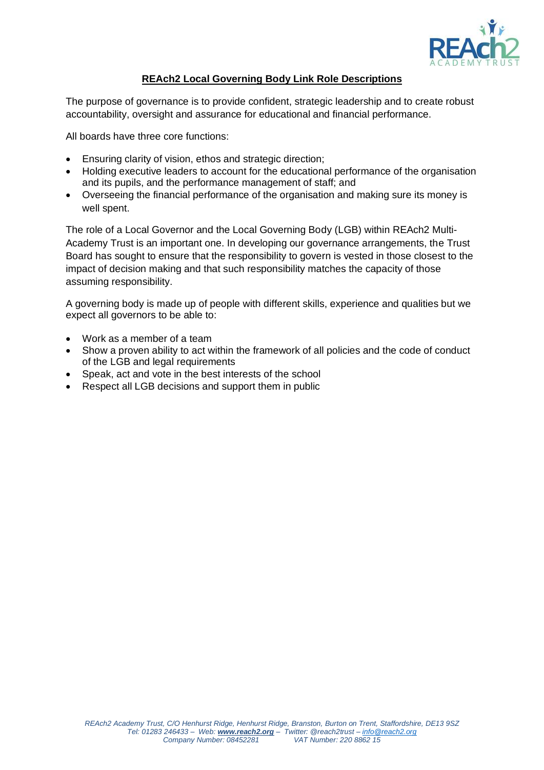

## **REAch2 Local Governing Body Link Role Descriptions**

The purpose of governance is to provide confident, strategic leadership and to create robust accountability, oversight and assurance for educational and financial performance.

All boards have three core functions:

- Ensuring clarity of vision, ethos and strategic direction;
- Holding executive leaders to account for the educational performance of the organisation and its pupils, and the performance management of staff; and
- Overseeing the financial performance of the organisation and making sure its money is well spent.

The role of a Local Governor and the Local Governing Body (LGB) within REAch2 Multi-Academy Trust is an important one. In developing our governance arrangements, the Trust Board has sought to ensure that the responsibility to govern is vested in those closest to the impact of decision making and that such responsibility matches the capacity of those assuming responsibility.

A governing body is made up of people with different skills, experience and qualities but we expect all governors to be able to:

- Work as a member of a team
- Show a proven ability to act within the framework of all policies and the code of conduct of the LGB and legal requirements
- Speak, act and vote in the best interests of the school
- Respect all LGB decisions and support them in public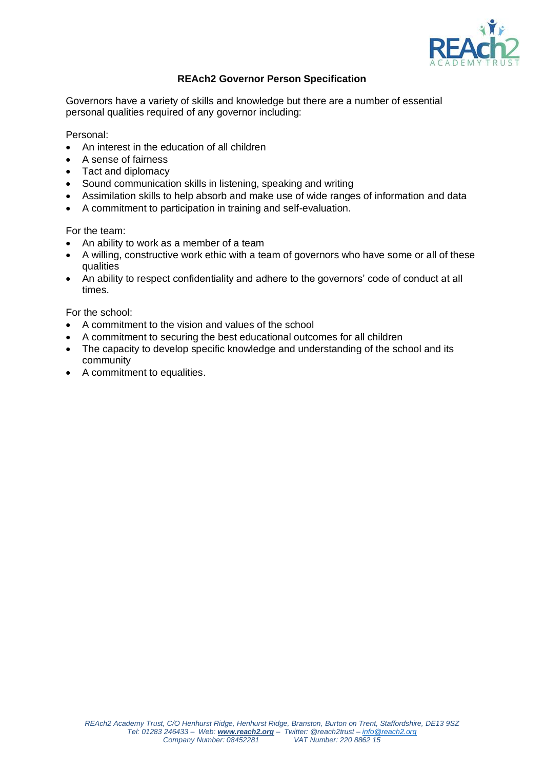

## **REAch2 Governor Person Specification**

Governors have a variety of skills and knowledge but there are a number of essential personal qualities required of any governor including:

Personal:

- An interest in the education of all children
- A sense of fairness
- Tact and diplomacy
- Sound communication skills in listening, speaking and writing
- Assimilation skills to help absorb and make use of wide ranges of information and data
- A commitment to participation in training and self-evaluation.

For the team:

- An ability to work as a member of a team
- A willing, constructive work ethic with a team of governors who have some or all of these qualities
- An ability to respect confidentiality and adhere to the governors' code of conduct at all times.

For the school:

- A commitment to the vision and values of the school
- A commitment to securing the best educational outcomes for all children
- The capacity to develop specific knowledge and understanding of the school and its community
- A commitment to equalities.